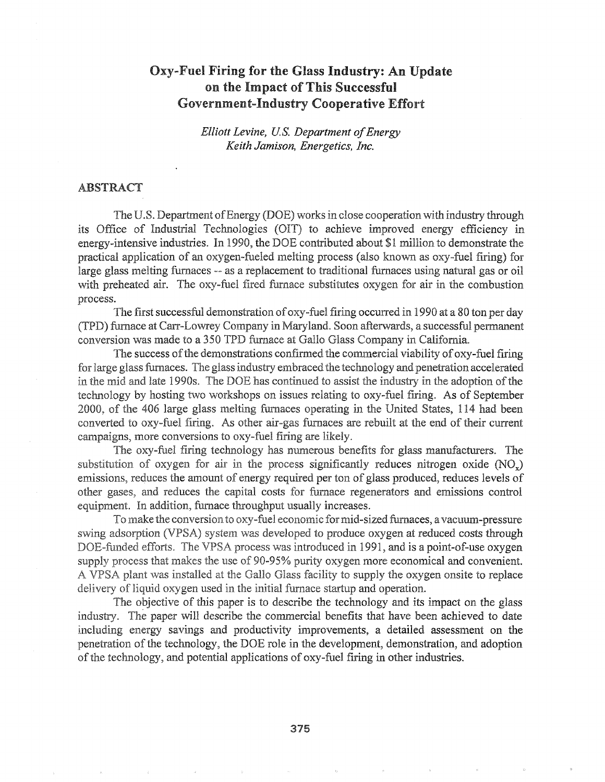# Oxy-Fuel Firing for the Glass Industry: An Update on the Impact of This Successful Government-Industry Cooperative Effort

*Elliott Levine, Us. Department ofEnergy Keith Jamison, Energetics, Inc.*

### **ABSTRACT**

The U.S. Department of Energy (DOE) works in close cooperation with industry through its Office of Industrial Technologies (OIT) to achieve improved energy efficiency in energy-intensive industries. In 1990, the DOE contributed about \$1 million to demonstrate the practical application of an oxygen-fueled melting process (also known as oxy-fuel firing) for large glass melting furnaces -- as a replacement to traditional furnaces using natural gas or oil with preheated air. The oxy-fuel fired furnace substitutes oxygen for air in the combustion process.

The first successful demonstration of oxy-fuel firing occurred in 1990 at a 80 ton per day (TPD) furnace at Carr-Lowrey Company in Maryland. Soon afterwards, a successful permanent conversion was made to a 350 TPD furnace at Gallo Glass Company in California.

The success of the demonstrations confirmed the commercial viability of oxy-fuel firing for large glass furnaces. The glass industry embraced the technology and penetration accelerated in the mid and late 1990s. The DOE has continued to assist the industry in the adoption of the technology by hosting two workshops on issues relating to oxy-fuel firing. As of September 2000, of the 406 large glass melting furnaces operating in the United States, 114 had been converted to oxy-fuel firing. As other air-gas furnaces are rebuilt at the end of their current campaigns, more conversions to oxy-fuel firing are likely.

The oxy-fuel firing technology has numerous benefits for glass manufacturers. The substitution of oxygen for air in the process significantly reduces nitrogen oxide  $(NO_x)$ emissions, reduces the amount of energy required per ton of glass produced, reduces levels of other gases, and reduces the capital costs for furnace regenerators and emissions control equipment. In addition, furnace throughput usually increases.

To make the conversion to oxy-fuel economic for mid-sized furnaces, a vacuum-pressure swing adsorption (VPSA) system was developed to produce oxygen at reduced costs through DOE-funded efforts. The VPSA process was introduced in 1991, and is a point-of-use oxygen supply process that makes the use of 90-95% purity oxygen more economical and convenient. A VPSA plant was installed at the Gallo Glass facility to supply the oxygen onsite to replace delivery of liquid oxygen used in the initial furnace startup and operation.

The objective of this paper is to describe the technology and its impact on the glass industry. The paper will describe the commercial benefits that have been achieved to date including energy savings and productivity improvements, a detailed assessment on the technology, the DOE role in the development, demonstration, and adoption and potential applications of oxy-fuel firing in other industries.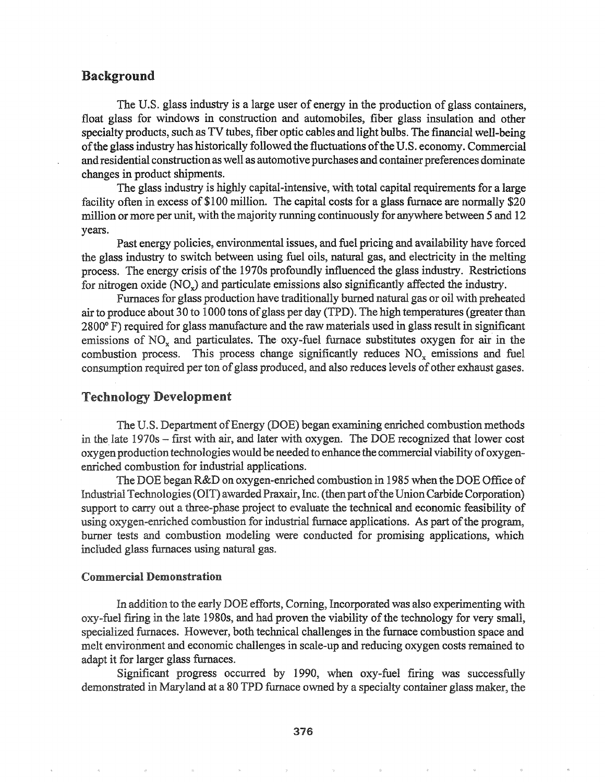# Background

The U.S. glass industry is a large user of energy in the production of glass containers, float glass for windows in construction and automobiles, fiber glass insulation and other specialty products, such as TV tubes, fiber optic cables and light bulbs. The fmancial well-being ofthe glass industry has historically followed the fluctuations ofthe U.S. economy. Commercial and residential construction as well as automotive purchases and container preferences dominate changes in product shipments.

The glass industry is highly capital-intensive, with total capital requirements for a large facility often in excess of \$100 million. The capital costs for a glass furnace are normally \$20 million or more per unit, with the majority running continuously for anywhere between 5 and 12 years.

Past energy policies, environmental issues, and fuel pricing and availability have forced the glass industry to switch between using fuel oils, natural gas, and electricity in the melting process. The energy crisis ofthe 1970s profoundly influenced the glass industry. Restrictions for nitrogen oxide (NO,) and particulate emissions also significantly affected the industry.

Furnaces for glass production have traditionally burned natural gas or oil with preheated air to produce about 30 to 1000 tons of glass per day (TPD). The high temperatures (greater than 2800° F) required for glass manufacture and the raw materials used in glass result in significant emissions of  $NO<sub>x</sub>$  and particulates. The oxy-fuel furnace substitutes oxygen for air in the combustion process. This process change significantly reduces  $NO<sub>x</sub>$  emissions and fuel consumption required per ton of glass produced, and also reduces levels of other exhaust gases.

### Technology Development

The U.S. Department of Energy (DOE) began examining enriched combustion methods in the late  $1970s$  – first with air, and later with oxygen. The DOE recognized that lower cost oxygen production technologies would be needed to enhance the commercial viability of oxygenenriched combustion for industrial applications.

The DOE began R&D on oxygen-enriched combustion in 1985 when the DOE Office of Industrial Technologies (OIT) awarded Praxair, Inc. (then part of the Union Carbide Corporation) support to carry out a three-phase project to evaluate the technical and economic feasibility of using oxygen-enriched combustion for industrial furnace applications. As part of the program, burner tests and combustion modeling were conducted for promising applications, which included glass furnaces using natural gas.

#### Commercial Demonstration

In addition to the early DOE efforts, Corning, Incorporated was also experimenting with  $\alpha$  ....  $\beta$  ... ... in the late 1980s, and had proven the viability of the technology for very small, specialized furnaces. However, both technical challenges in the furnace combustion space and melt environment and economic challenges in scale-up and reducing oxygen costs remained to adapt it for larger glass furnaces.

Significant progress occurred by 1990, when oxy-fuel firing was successfully demonstrated in Maryland at a 80 TPD furnace ovvned by a specialty container glass maker, the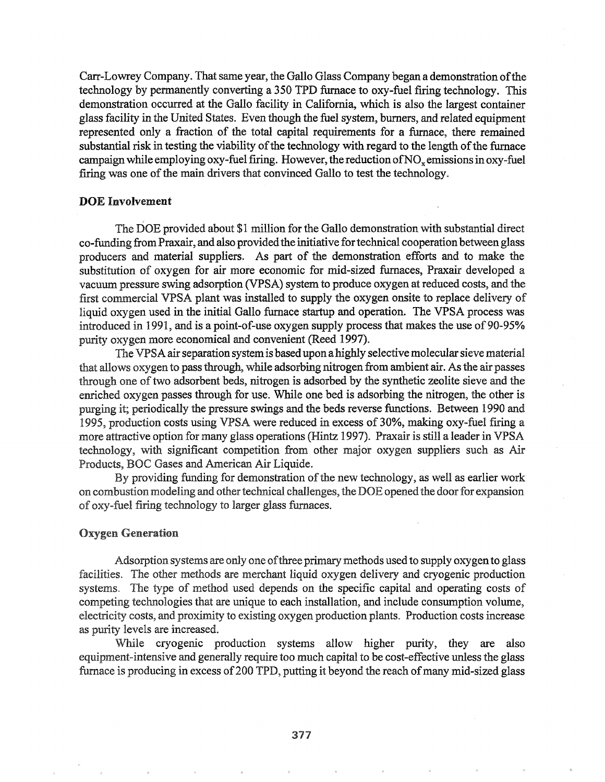Carr-Lowrey Company. That same year, the Gallo Glass Company began a demonstration of the technology by permanently converting a 350 TPD furnace to oxy-fuel firing technology. This demonstration occurred at the Gallo facility in California, which is also the largest container glass facility in the United States. Even though the fuel system, burners, and related equipment represented only a fraction of the total capital requirements for a furnace, there remained substantial risk in testing the viability of the technology with regard to the length of the furnace campaign while employing oxy-fuel firing. However, the reduction of NO<sub>x</sub> emissions in oxy-fuel firing was one of the main drivers that convinced Gallo to test the technology.

## DOE Involvement

The DOE provided about \$1 million for the Gallo demonstration with substantial direct co-funding from Praxair, and also provided the initiative for technical cooperation between glass producers and material suppliers. As part of the demonstration efforts and to make the substitution of oxygen for air more economic for mid-sized furnaces, Praxair developed a vacuum pressure swing adsorption (VPSA) system to produce oxygen at reduced costs, and the first commercial VPSA plant was installed to supply the oxygen onsite to replace delivery of liquid oxygen used in the initial Gallo furnace startup and operation. The VPSA process was introduced in 1991, and is a point-of-use oxygen supply process that makes the use of 90-95% purity oxygen more economical and convenient (Reed 1997).

The VPSA air separation system is based upon a highly selective molecular sieve material that allows oxygen to pass through, while adsorbing nitrogen from ambient air. As the air passes through one of two adsorbent beds, nitrogen is adsorbed by the synthetic zeolite sieve and the enriched oxygen passes through for use. While one bed is adsorbing the nitrogen, the other is purging it; periodically the pressure swings and the beds reverse functions. Between 1990 and 1995, production costs using VPSA were reduced in excess of 30%, making oxy-fuel firing a more attractive option for many glass operations (Hintz 1997). Praxair is still a leader in VPSA technology, with significant competition from other major oxygen suppliers such as Air Products, BOC Gases and American Air Liquide.

By providing funding for demonstration of the new technology, as well as earlier work on combustion modeling and other technical challenges, the DOE opened the door for expansion of oxy-fuel firing technology to larger glass furnaces.

#### **Oxygen Generation**

Adsorption systems are only one ofthree primary methods used to supply oxygento glass facilities. The other methods are merchant liquid oxygen delivery and cryogenic production systems. The type of method used depends on the specific capital and operating costs of competing technologies that are unique to each installation, and include consumption volume, electricity costs, and proximity to existing oxygen production plants~ Production costs increase as purity levels are increased.

While cryogenic production systems allow higher purity, they are also equipment-intensive and generally require too much capital to be cost-effective unless the glass furnace is producing in excess of 200 TPD, putting it beyond the reach of many mid-sized glass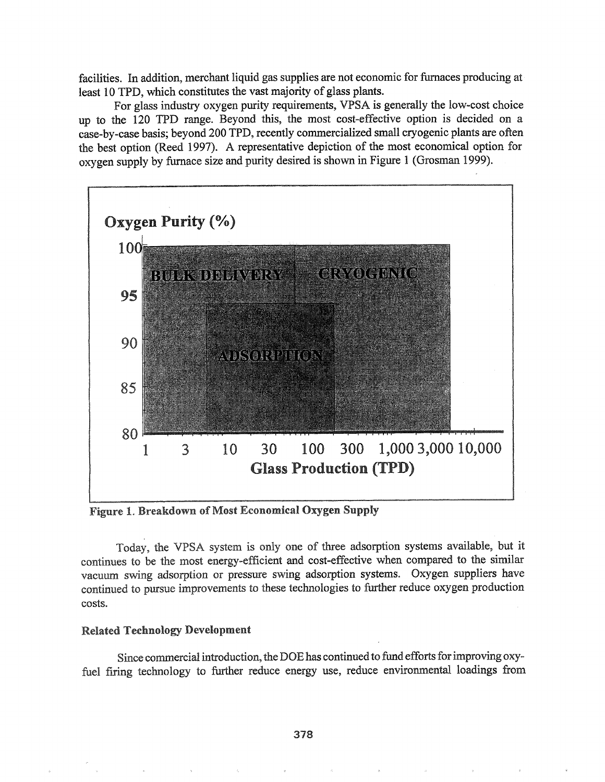facilities. In addition, merchant liquid gas supplies are not economic for furnaces producing at least 10 TPD, which constitutes the vast majority of glass plants.

For glass industry oxygen purity requirements, VPSA is generally the low-cost choice up to the 120 TPD range. Beyond this, the most cost-effective option is decided on a case-by-case basis; beyond 200 TPD, recently commercialized small cryogenic plants are often the best option (Reed 1997). A representative depiction of the most economical option for oxygen supply by furnace size and purity desired is shown in Figure 1 (Grosman 1999).



Figure 1. Breakdown of Most Economical Oxygen Supply

Today, the VPSA system is only one of three adsorption systems available, but it continues to be the most energy-efficient and cost-effective when compared to the similar vacuum swing adsorption or pressure swing adsorption systems.. Oxygen suppliers have continued to pursue improvements to these technologies to further reduce oxygen production costs.

### Related Technology Development

Since commercial introduction, the DOE has continued to fund efforts for improving oxyfuel firing technology to further reduce energy use, reduce environmental loadings from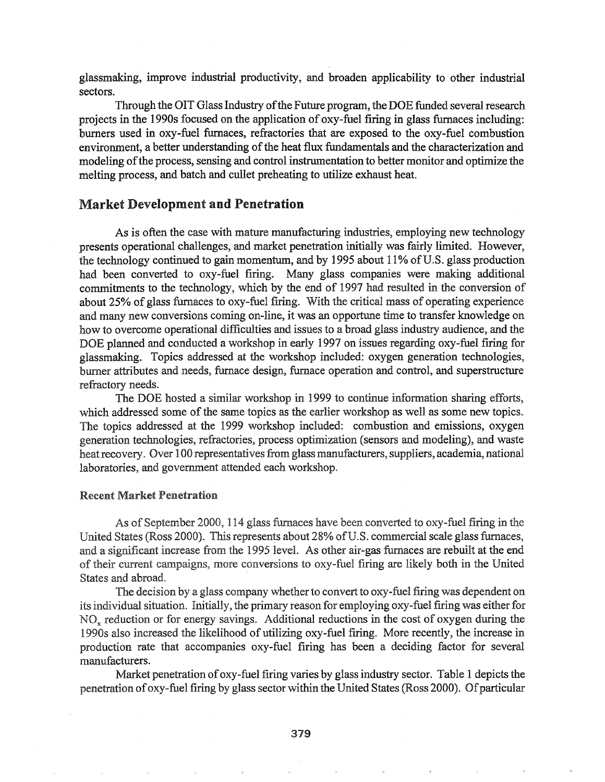glassmaking, improve industrial productivity, and broaden applicability to other industrial sectors.

Through the OIT Glass Industry of the Future program, the DOE funded several research projects in the 1990s focused on the application of oxy-fuel firing in glass furnaces including: burners used in oxy-fuel furnaces, refractories that are exposed to the oxy-fuel combustion environment, a better understanding of the heat flux fundamentals and the characterization and modeling ofthe process, sensing and control instrumentation to better monitor and optimize the melting process, and batch and cullet preheating to utilize exhaust heat.

# Market Development and Penetration

As is often the case with mature manufacturing industries, employing new technology presents operational challenges, and market penetration initially was fairly limited. However, the technology continued to gain momentum, and by 1995 about 11% of U.S. glass production had been converted to oxy-fuel firing. Many glass companies were making additional commitments to the technology, which by the end of 1997 had resulted in the conversion of about 25% of glass furnaces to oxy-fuel firing. With the critical mass of operating experience and many new conversions coming on-line, it was an opportune time to transfer knowledge on how to overcome operational difficulties and issues to a broad glass industry audience, and the DOE planned and conducted a workshop in early 1997 on issues regarding oxy-fuel firing for glassmaking. Topics addressed at the workshop included: oxygen generation technologies, burner attributes and needs, furnace design, furnace operation and control, and superstructure refractory needs..

The DOE hosted a similar workshop in 1999 to continue infonnation sharing efforts, which addressed some of the same topics as the earlier workshop as well as some new topics. The topics addressed at the 1999 workshop included: combustion and emissions, oxygen generation technologies, refractories, process optimization (sensors and modeling), and waste heat recovery. Over 100 representatives from glass manufacturers, suppliers, academia, national laboratories, and government attended each workshop.

### **Recent Market Penetration**

As of September 2000, 114 glass furnaces have been converted to oxy-fuel firing in the United States (Ross 2000). This represents about 28% of U.S. commercial scale glass furnaces, and a significant increase from the 1995 level. As other air-gas furnaces are rebuilt at the end of their current campaigns, more conversions to oxy-fuel firing are likely both in the United States and abroad.

The decision by a glass company whether to convert to oxy-fuel firing was dependent on its individual situation. Initially, the primary reason for employing oxy-fuel firing was either for NO<sub>x</sub> reduction or for energy savings. Additional reductions in the cost of oxygen during the 1990s also increased the likelihood of utilizing oxy-fuel firing. More recently, the increase in production rate that accompanies oxy-fuel firing has been a deciding factor for several manufacturers..

Market penetration of  $\alpha$ y-fuel firing varies by glass industry sector. Table 1 depicts the penetration of oxy-fuel firing by glass sector within the United States (Ross 2000). Of particular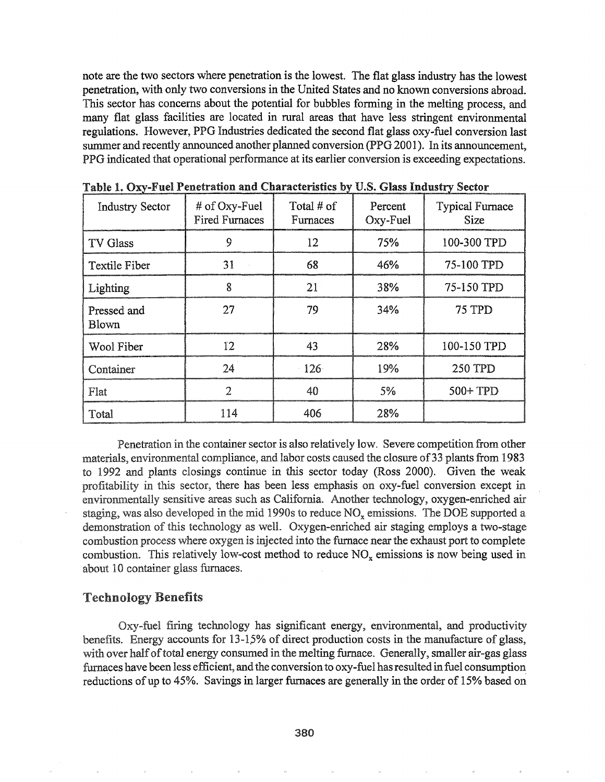note are the two sectors where penetration is the lowest. The flat glass industry has the lowest penetration, with only two conversions in the United States and no known conversions abroad. This sector has concerns about the potential for bubbles forming in the melting process, and many flat glass facilities are located in rural areas that have less stringent environmental regulations. However, PPG Industries dedicated the second flat glass oxy-fuel conversion last summer and recently announced another planned conversion (PPG 2001). In its announcement, PPG indicated that operational performance at its earlier conversion is exceeding expectations..

| <b>Industry Sector</b>      | # of Oxy-Fuel<br><b>Fired Furnaces</b> | Total # of<br>Furnaces | Percent<br>Oxy-Fuel | <b>Typical Furnace</b><br><b>Size</b> |
|-----------------------------|----------------------------------------|------------------------|---------------------|---------------------------------------|
| TV Glass                    | 9                                      | 12                     | 75%                 | 100-300 TPD                           |
| <b>Textile Fiber</b>        | 31                                     | 68                     | 46%                 | 75-100 TPD                            |
| Lighting                    | 8                                      | 21                     | 38%                 | 75-150 TPD                            |
| Pressed and<br><b>Blown</b> | 27                                     | 79                     | 34%                 | 75 TPD                                |
| Wool Fiber                  | $12 \overline{ }$                      | 43                     | 28%                 | 100-150 TPD                           |
| Container                   | 24                                     | 126                    | 19%                 | <b>250 TPD</b>                        |
| Flat                        | $\overline{2}$                         | 40                     | 5%                  | 500+TPD                               |
| Total                       | 114                                    | 406                    | 28%                 |                                       |

Table 1. Oxy-Fuel Penetration and Characteristics by U.S. Glass Industry Sector

Penetration in the container sector is also relatively low. Severe competition from other materials, environmental compliance, and labor costs caused the closure of 33 plants from 1983 to 1992 and plants closings continue in this sector today (Ross 2000). Given the weak profitability in this sector, there has been less emphasis on oxy-fuel conversion except in environmentally sensitive areas such as California. Another technology, oxygen-enriched air staging, was also developed in the mid 1990s to reduce  $NO_x$  emissions. The DOE supported a demonstration of this technology as well. Oxygen-enriched air staging employs a two-stage combustion process where oxygen is injected into the furnace near the exhaust port to complete combustion. This relatively low-cost method to reduce  $NO<sub>x</sub>$  emissions is now being used in about 10 container glass furnaces.

### **Technology Benefits**

Oxy-fuel firing technology has significant energy, environmental, and productivity benefits. Energy accounts for  $13-15%$  of direct production costs in the manufacture of glass, with over half of total energy consumed in the melting furnace. Generally, smaller air-gas glass furnaces have been less efficient, and the conversion to oxy-fuel has resulted in fuel consumption reductions of up to 45%. Savings in larger furnaces are generally in the order of 15% based on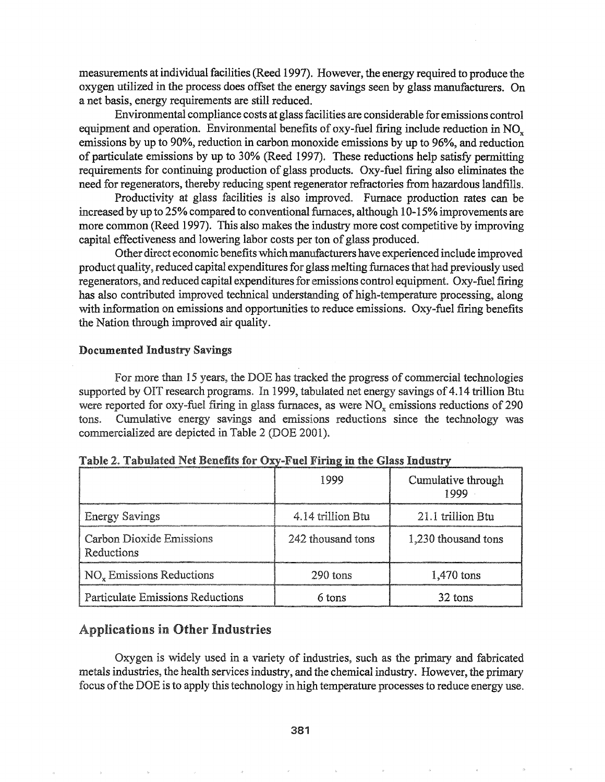measurements at individual facilities (Reed 1997). However, the energy required to produce the oxygen utilized in the process does offset the energy savings seen by glass manufacturers. On a net basis, energy requirements are still reduced.

Environmental compliance costs at glassfacilities are considerable for emissions control equipment and operation. Environmental benefits of oxy-fuel firing include reduction in NO<sub>x</sub>. emissions by up to 90%, reduction in carbon monoxide emissions by up to 96%, and reduction of particulate emissions by up to 30% (Reed 1997). These reductions help satisfy permitting requirements for continuing production of glass products. Oxy-fuel firing also eliminates the need for regenerators, thereby reducing spent regenerator refractories from hazardous landfills.

Productivity at glass facilities is also improved. Furnace production rates can be increased by up to 25% compared to conventional furnaces, although 10-15% improvements are more common (Reed 1997). This also makes the industry more cost competitive by improving capital effectiveness and lowering labor costs per ton of glass produced.

Other direct economic benefits which manufacturers have experienced include improved product quality, reduced capital expenditures for glass melting furnaces that had previously used regenerators, and reduced capital expendituresfor emissions control equipment. Oxy-fuel firing has also contributed improved technical understanding of high-temperature processing, along with information on emissions and opportunities to reduce emissions. Oxy-fuel firing benefits the Nation through improved air quality.

#### Documented Industry Savings

For more than 15 years, the DOE has tracked the progress of commercial technologies supported by OIT research programs. In 1999, tabulated net energy savings of 4.14 trillion Btu were reported for oxy-fuel firing in glass furnaces, as were  $NO<sub>x</sub>$  emissions reductions of 290 tons. Cumulative energy savings and emissions reductions since the technology was commercialized are depicted in Table 2 (DOE 2001).

|                                               | 1999              | Cumulative through<br>1999 |
|-----------------------------------------------|-------------------|----------------------------|
| <b>Energy Savings</b>                         | 4.14 trillion Btu | 21.1 trillion Btu          |
| <b>Carbon Dioxide Emissions</b><br>Reductions | 242 thousand tons | 1,230 thousand tons        |
| $NOx$ Emissions Reductions                    | $290$ tons        | 1,470 tons                 |
| <b>Particulate Emissions Reductions</b>       | 6 tons            | 32 tons                    |

Table 2. Tabulated Net Benefits for Oxy-Fuel Firing in the Glass Industry

# Applications in Other Industries

Oxygen is widely used in a variety of industries, such as the primary and fabricated metals industries, the health services industry, and the chemical industry~ However, the primary focus of the DOE is to apply this technology in high temperature processes to reduce energy use.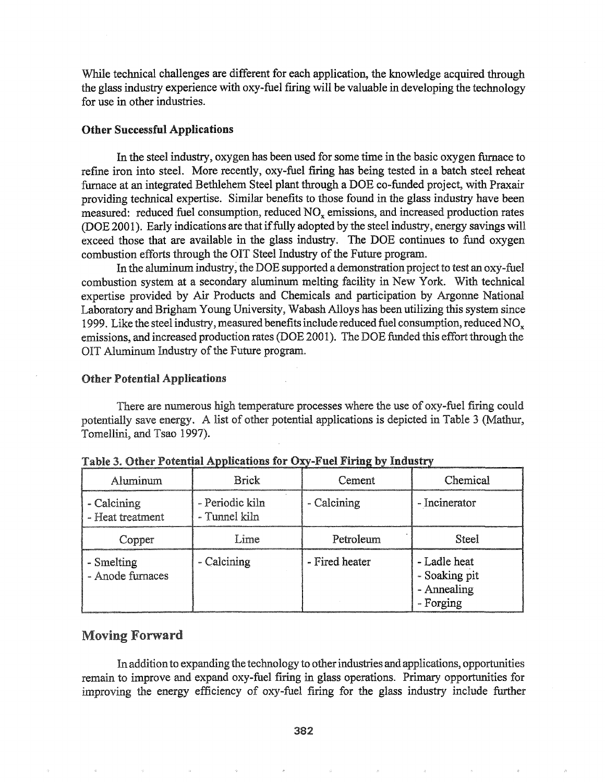While technical challenges are different for each application, the knowledge acquired through the glass industry experience with oxy-fuel firing will be valuable in developing the technology for use in other industries.

#### Other Successful Applications

In the steel industry, oxygen has been used for some time in the basic oxygen furnace to refme iron into steel. More recently, oxy-fuel firing has being tested in a batch steel reheat furnace at an integrated Bethlehem Steel plant through a DOE co-funded project, with Praxair providing technical expertise. Similar benefits to those found in the glass industry have been measured: reduced fuel consumption, reduced NO<sub>x</sub> emissions, and increased production rates (DOE 2001). Early indications are that iffully adopted by the steel industry, energy savings will exceed those that are available in the glass industry. The DOE continues to fund oxygen combustion efforts through the OIT Steel Industry of the Future program.

In the aluminum industry, the DOE supported a demonstration project to test an oxy-fuel combustion system at a secondary aluminum melting facility in New York. With technical expertise provided by Air Products and Chemicals and participation by Argonne National Laboratory and Brigham Young University, Wabash Alloys has been utilizing this system since 1999. Like the steel industry, measured benefits include reduced fuel consumption, reduced  $NO<sub>x</sub>$ emissions, and increased production rates (DOE 2001). The DOE funded this effort through the OIT Aluminum Industry of the Future program.

#### Other Potential Applications

There are numerous high temperature processes where the use of oxy-fuel firing could potentially save energy. A list of other potential applications is depicted in Table 3 (Mathur, Tomellini, and Tsao 1997).

| Aluminum                        | <b>Brick</b>                     | Cement         | Chemical                                                  |
|---------------------------------|----------------------------------|----------------|-----------------------------------------------------------|
| - Calcining<br>- Heat treatment | - Periodic kiln<br>- Tunnel kiln | - Calcining    | - Incinerator                                             |
| Copper                          | Lime                             | Petroleum      | Steel                                                     |
| - Smelting<br>- Anode furnaces  | - Calcining                      | - Fired heater | - Ladle heat<br>- Soaking pit<br>- Annealing<br>- Forging |

Table 3. Other Potential Applications for Oxy-Fuel Firin

# Moving Forward

In addition to expanding the technology to other industries and applications, opportunities remain to improve and expand oxy-fuel firing in glass operations. Primary opportunities for improving the energy efficiency of oxy-fuel firing for the glass industry include further